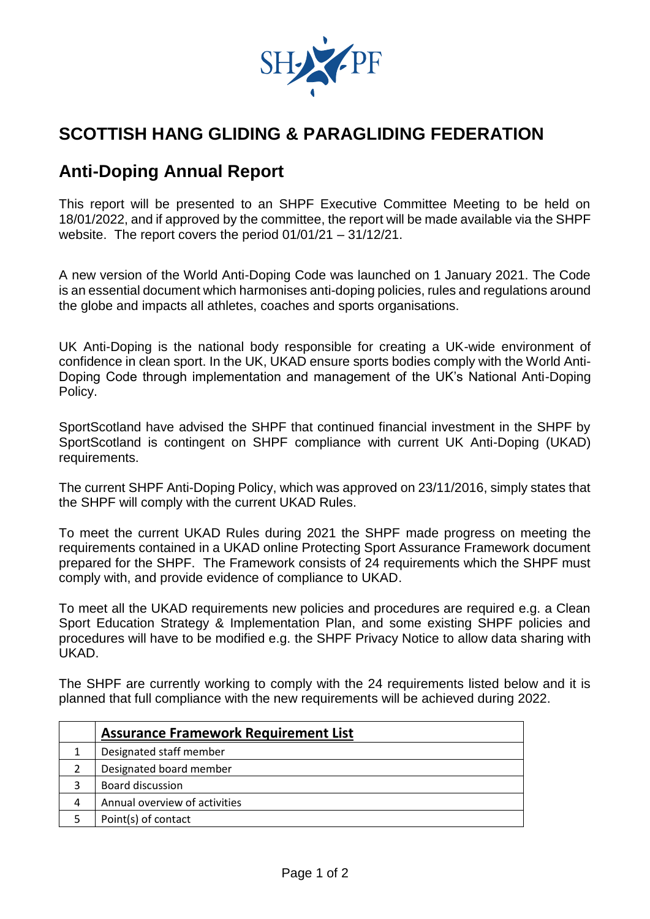

## **SCOTTISH HANG GLIDING & PARAGLIDING FEDERATION**

## **Anti-Doping Annual Report**

This report will be presented to an SHPF Executive Committee Meeting to be held on 18/01/2022, and if approved by the committee, the report will be made available via the SHPF website. The report covers the period 01/01/21 – 31/12/21.

A new version of the World Anti-Doping Code was launched on 1 January 2021. The Code is an essential document which harmonises anti-doping policies, rules and regulations around the globe and impacts all athletes, coaches and sports organisations.

UK Anti-Doping is the national body responsible for creating a UK-wide environment of confidence in clean sport. In the UK, UKAD ensure sports bodies comply with the World Anti-Doping Code through implementation and management of the UK's National Anti-Doping Policy.

SportScotland have advised the SHPF that continued financial investment in the SHPF by SportScotland is contingent on SHPF compliance with current UK Anti-Doping (UKAD) requirements.

The current SHPF Anti-Doping Policy, which was approved on 23/11/2016, simply states that the SHPF will comply with the current UKAD Rules.

To meet the current UKAD Rules during 2021 the SHPF made progress on meeting the requirements contained in a UKAD online Protecting Sport Assurance Framework document prepared for the SHPF. The Framework consists of 24 requirements which the SHPF must comply with, and provide evidence of compliance to UKAD.

To meet all the UKAD requirements new policies and procedures are required e.g. a Clean Sport Education Strategy & Implementation Plan, and some existing SHPF policies and procedures will have to be modified e.g. the SHPF Privacy Notice to allow data sharing with UKAD.

The SHPF are currently working to comply with the 24 requirements listed below and it is planned that full compliance with the new requirements will be achieved during 2022.

|   | <b>Assurance Framework Requirement List</b> |
|---|---------------------------------------------|
|   | Designated staff member                     |
|   | Designated board member                     |
|   | <b>Board discussion</b>                     |
| 4 | Annual overview of activities               |
|   | Point(s) of contact                         |